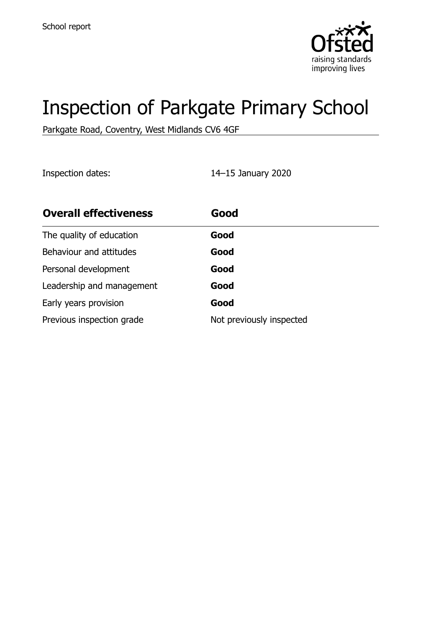

# Inspection of Parkgate Primary School

Parkgate Road, Coventry, West Midlands CV6 4GF

Inspection dates: 14–15 January 2020

| <b>Overall effectiveness</b> | Good                     |
|------------------------------|--------------------------|
| The quality of education     | Good                     |
| Behaviour and attitudes      | Good                     |
| Personal development         | Good                     |
| Leadership and management    | Good                     |
| Early years provision        | Good                     |
| Previous inspection grade    | Not previously inspected |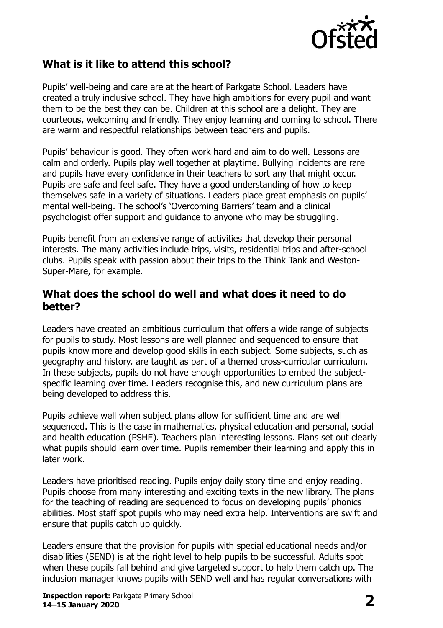

### **What is it like to attend this school?**

Pupils' well-being and care are at the heart of Parkgate School. Leaders have created a truly inclusive school. They have high ambitions for every pupil and want them to be the best they can be. Children at this school are a delight. They are courteous, welcoming and friendly. They enjoy learning and coming to school. There are warm and respectful relationships between teachers and pupils.

Pupils' behaviour is good. They often work hard and aim to do well. Lessons are calm and orderly. Pupils play well together at playtime. Bullying incidents are rare and pupils have every confidence in their teachers to sort any that might occur. Pupils are safe and feel safe. They have a good understanding of how to keep themselves safe in a variety of situations. Leaders place great emphasis on pupils' mental well-being. The school's 'Overcoming Barriers' team and a clinical psychologist offer support and guidance to anyone who may be struggling.

Pupils benefit from an extensive range of activities that develop their personal interests. The many activities include trips, visits, residential trips and after-school clubs. Pupils speak with passion about their trips to the Think Tank and Weston-Super-Mare, for example.

#### **What does the school do well and what does it need to do better?**

Leaders have created an ambitious curriculum that offers a wide range of subjects for pupils to study. Most lessons are well planned and sequenced to ensure that pupils know more and develop good skills in each subject. Some subjects, such as geography and history, are taught as part of a themed cross-curricular curriculum. In these subjects, pupils do not have enough opportunities to embed the subjectspecific learning over time. Leaders recognise this, and new curriculum plans are being developed to address this.

Pupils achieve well when subject plans allow for sufficient time and are well sequenced. This is the case in mathematics, physical education and personal, social and health education (PSHE). Teachers plan interesting lessons. Plans set out clearly what pupils should learn over time. Pupils remember their learning and apply this in later work.

Leaders have prioritised reading. Pupils enjoy daily story time and enjoy reading. Pupils choose from many interesting and exciting texts in the new library. The plans for the teaching of reading are sequenced to focus on developing pupils' phonics abilities. Most staff spot pupils who may need extra help. Interventions are swift and ensure that pupils catch up quickly.

Leaders ensure that the provision for pupils with special educational needs and/or disabilities (SEND) is at the right level to help pupils to be successful. Adults spot when these pupils fall behind and give targeted support to help them catch up. The inclusion manager knows pupils with SEND well and has regular conversations with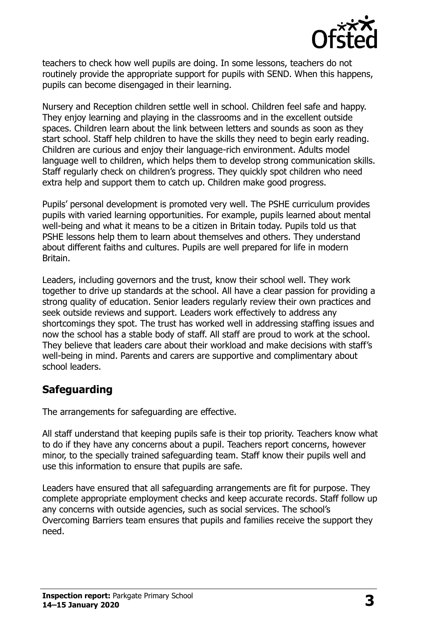

teachers to check how well pupils are doing. In some lessons, teachers do not routinely provide the appropriate support for pupils with SEND. When this happens, pupils can become disengaged in their learning.

Nursery and Reception children settle well in school. Children feel safe and happy. They enjoy learning and playing in the classrooms and in the excellent outside spaces. Children learn about the link between letters and sounds as soon as they start school. Staff help children to have the skills they need to begin early reading. Children are curious and enjoy their language-rich environment. Adults model language well to children, which helps them to develop strong communication skills. Staff regularly check on children's progress. They quickly spot children who need extra help and support them to catch up. Children make good progress.

Pupils' personal development is promoted very well. The PSHE curriculum provides pupils with varied learning opportunities. For example, pupils learned about mental well-being and what it means to be a citizen in Britain today. Pupils told us that PSHE lessons help them to learn about themselves and others. They understand about different faiths and cultures. Pupils are well prepared for life in modern Britain.

Leaders, including governors and the trust, know their school well. They work together to drive up standards at the school. All have a clear passion for providing a strong quality of education. Senior leaders regularly review their own practices and seek outside reviews and support. Leaders work effectively to address any shortcomings they spot. The trust has worked well in addressing staffing issues and now the school has a stable body of staff. All staff are proud to work at the school. They believe that leaders care about their workload and make decisions with staff's well-being in mind. Parents and carers are supportive and complimentary about school leaders.

#### **Safeguarding**

The arrangements for safeguarding are effective.

All staff understand that keeping pupils safe is their top priority. Teachers know what to do if they have any concerns about a pupil. Teachers report concerns, however minor, to the specially trained safeguarding team. Staff know their pupils well and use this information to ensure that pupils are safe.

Leaders have ensured that all safeguarding arrangements are fit for purpose. They complete appropriate employment checks and keep accurate records. Staff follow up any concerns with outside agencies, such as social services. The school's Overcoming Barriers team ensures that pupils and families receive the support they need.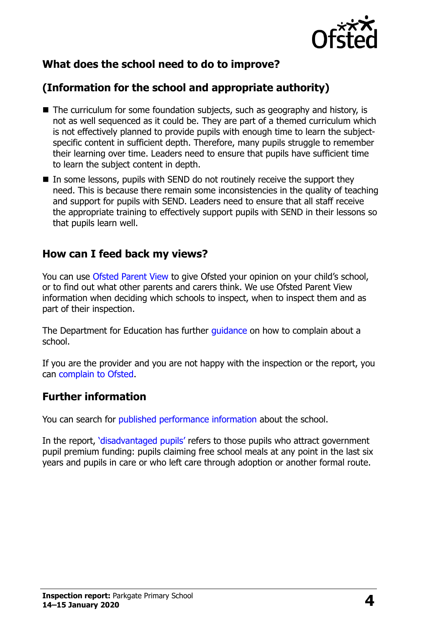

## **What does the school need to do to improve?**

## **(Information for the school and appropriate authority)**

- The curriculum for some foundation subjects, such as geography and history, is not as well sequenced as it could be. They are part of a themed curriculum which is not effectively planned to provide pupils with enough time to learn the subjectspecific content in sufficient depth. Therefore, many pupils struggle to remember their learning over time. Leaders need to ensure that pupils have sufficient time to learn the subject content in depth.
- $\blacksquare$  In some lessons, pupils with SEND do not routinely receive the support they need. This is because there remain some inconsistencies in the quality of teaching and support for pupils with SEND. Leaders need to ensure that all staff receive the appropriate training to effectively support pupils with SEND in their lessons so that pupils learn well.

#### **How can I feed back my views?**

You can use [Ofsted Parent View](http://parentview.ofsted.gov.uk/) to give Ofsted your opinion on your child's school, or to find out what other parents and carers think. We use Ofsted Parent View information when deciding which schools to inspect, when to inspect them and as part of their inspection.

The Department for Education has further quidance on how to complain about a school.

If you are the provider and you are not happy with the inspection or the report, you can [complain to Ofsted.](http://www.gov.uk/complain-ofsted-report)

#### **Further information**

You can search for [published performance information](http://www.compare-school-performance.service.gov.uk/) about the school.

In the report, '[disadvantaged pupils](http://www.gov.uk/guidance/pupil-premium-information-for-schools-and-alternative-provision-settings)' refers to those pupils who attract government pupil premium funding: pupils claiming free school meals at any point in the last six years and pupils in care or who left care through adoption or another formal route.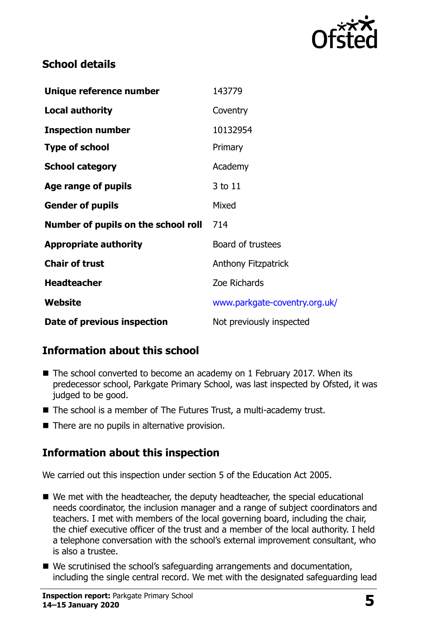

## **School details**

| Unique reference number             | 143779                        |
|-------------------------------------|-------------------------------|
| <b>Local authority</b>              | Coventry                      |
| <b>Inspection number</b>            | 10132954                      |
| <b>Type of school</b>               | Primary                       |
| <b>School category</b>              | Academy                       |
| Age range of pupils                 | 3 to 11                       |
| <b>Gender of pupils</b>             | Mixed                         |
| Number of pupils on the school roll | 714                           |
| <b>Appropriate authority</b>        | Board of trustees             |
| <b>Chair of trust</b>               | <b>Anthony Fitzpatrick</b>    |
| <b>Headteacher</b>                  | Zoe Richards                  |
| Website                             | www.parkgate-coventry.org.uk/ |
| Date of previous inspection         | Not previously inspected      |

## **Information about this school**

- The school converted to become an academy on 1 February 2017. When its predecessor school, Parkgate Primary School, was last inspected by Ofsted, it was judged to be good.
- The school is a member of The Futures Trust, a multi-academy trust.
- There are no pupils in alternative provision.

## **Information about this inspection**

We carried out this inspection under section 5 of the Education Act 2005.

- We met with the headteacher, the deputy headteacher, the special educational needs coordinator, the inclusion manager and a range of subject coordinators and teachers. I met with members of the local governing board, including the chair, the chief executive officer of the trust and a member of the local authority. I held a telephone conversation with the school's external improvement consultant, who is also a trustee.
- We scrutinised the school's safeguarding arrangements and documentation, including the single central record. We met with the designated safeguarding lead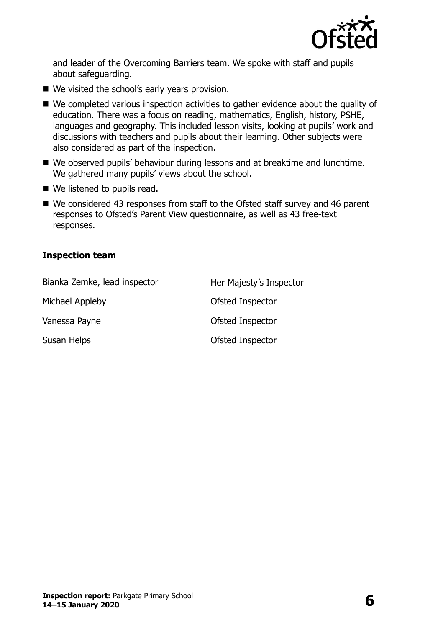

and leader of the Overcoming Barriers team. We spoke with staff and pupils about safeguarding.

- We visited the school's early years provision.
- We completed various inspection activities to gather evidence about the quality of education. There was a focus on reading, mathematics, English, history, PSHE, languages and geography. This included lesson visits, looking at pupils' work and discussions with teachers and pupils about their learning. Other subjects were also considered as part of the inspection.
- We observed pupils' behaviour during lessons and at breaktime and lunchtime. We gathered many pupils' views about the school.
- We listened to pupils read.
- We considered 43 responses from staff to the Ofsted staff survey and 46 parent responses to Ofsted's Parent View questionnaire, as well as 43 free-text responses.

#### **Inspection team**

| Bianka Zemke, lead inspector | Her Majesty's Inspector |
|------------------------------|-------------------------|
| Michael Appleby              | Ofsted Inspector        |
| Vanessa Payne                | Ofsted Inspector        |
| Susan Helps                  | Ofsted Inspector        |